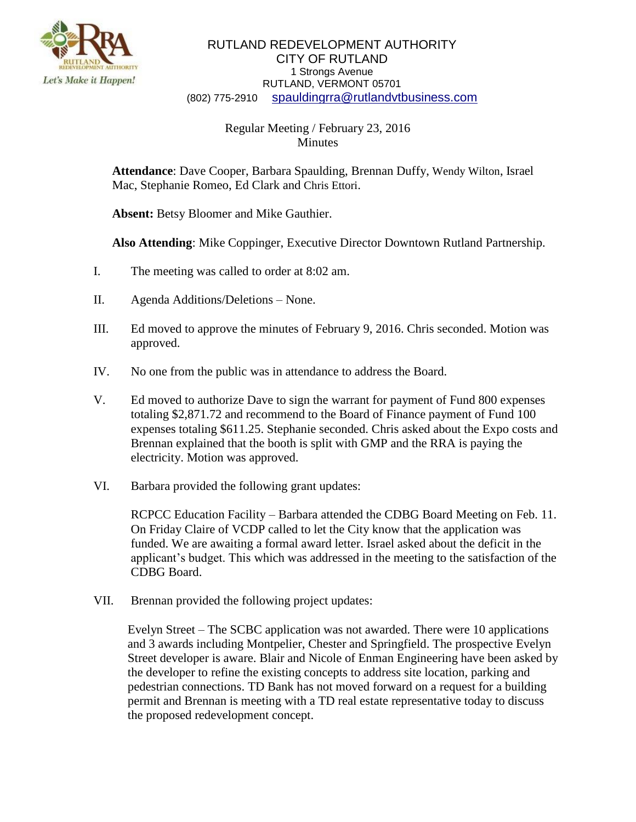

## RUTLAND REDEVELOPMENT AUTHORITY CITY OF RUTLAND 1 Strongs Avenue RUTLAND, VERMONT 05701 (802) 775-2910 [spauldingrra@rutlandvtbusiness.com](mailto:allenrra@rutlandvtbusiness.com)

## Regular Meeting / February 23, 2016 **Minutes**

**Attendance**: Dave Cooper, Barbara Spaulding, Brennan Duffy, Wendy Wilton, Israel Mac, Stephanie Romeo, Ed Clark and Chris Ettori.

**Absent:** Betsy Bloomer and Mike Gauthier.

**Also Attending**: Mike Coppinger, Executive Director Downtown Rutland Partnership.

- I. The meeting was called to order at 8:02 am.
- II. Agenda Additions/Deletions None.
- III. Ed moved to approve the minutes of February 9, 2016. Chris seconded. Motion was approved.
- IV. No one from the public was in attendance to address the Board.
- V. Ed moved to authorize Dave to sign the warrant for payment of Fund 800 expenses totaling \$2,871.72 and recommend to the Board of Finance payment of Fund 100 expenses totaling \$611.25. Stephanie seconded. Chris asked about the Expo costs and Brennan explained that the booth is split with GMP and the RRA is paying the electricity. Motion was approved.
- VI. Barbara provided the following grant updates:

RCPCC Education Facility – Barbara attended the CDBG Board Meeting on Feb. 11. On Friday Claire of VCDP called to let the City know that the application was funded. We are awaiting a formal award letter. Israel asked about the deficit in the applicant's budget. This which was addressed in the meeting to the satisfaction of the CDBG Board.

VII. Brennan provided the following project updates:

Evelyn Street – The SCBC application was not awarded. There were 10 applications and 3 awards including Montpelier, Chester and Springfield. The prospective Evelyn Street developer is aware. Blair and Nicole of Enman Engineering have been asked by the developer to refine the existing concepts to address site location, parking and pedestrian connections. TD Bank has not moved forward on a request for a building permit and Brennan is meeting with a TD real estate representative today to discuss the proposed redevelopment concept.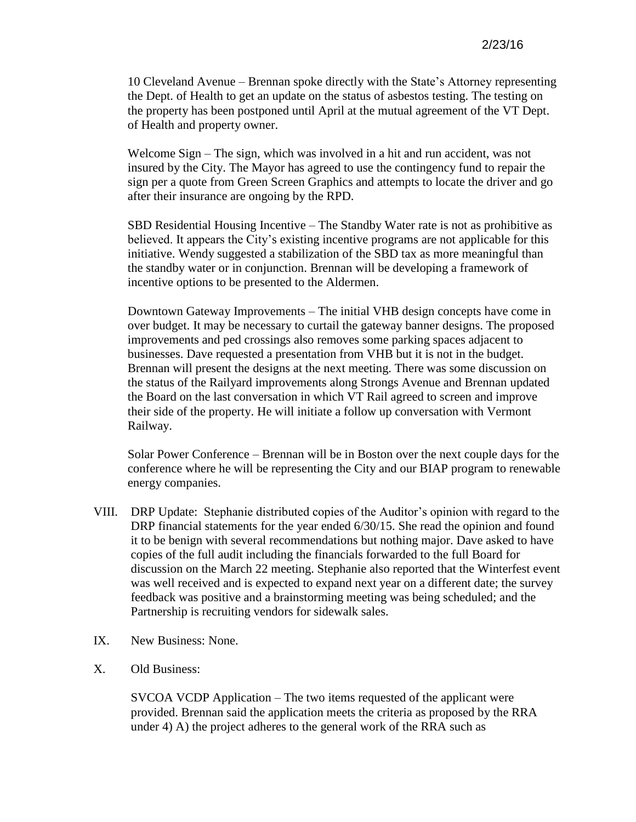10 Cleveland Avenue – Brennan spoke directly with the State's Attorney representing the Dept. of Health to get an update on the status of asbestos testing. The testing on the property has been postponed until April at the mutual agreement of the VT Dept. of Health and property owner.

Welcome Sign – The sign, which was involved in a hit and run accident, was not insured by the City. The Mayor has agreed to use the contingency fund to repair the sign per a quote from Green Screen Graphics and attempts to locate the driver and go after their insurance are ongoing by the RPD.

SBD Residential Housing Incentive – The Standby Water rate is not as prohibitive as believed. It appears the City's existing incentive programs are not applicable for this initiative. Wendy suggested a stabilization of the SBD tax as more meaningful than the standby water or in conjunction. Brennan will be developing a framework of incentive options to be presented to the Aldermen.

Downtown Gateway Improvements – The initial VHB design concepts have come in over budget. It may be necessary to curtail the gateway banner designs. The proposed improvements and ped crossings also removes some parking spaces adjacent to businesses. Dave requested a presentation from VHB but it is not in the budget. Brennan will present the designs at the next meeting. There was some discussion on the status of the Railyard improvements along Strongs Avenue and Brennan updated the Board on the last conversation in which VT Rail agreed to screen and improve their side of the property. He will initiate a follow up conversation with Vermont Railway.

Solar Power Conference – Brennan will be in Boston over the next couple days for the conference where he will be representing the City and our BIAP program to renewable energy companies.

- VIII. DRP Update: Stephanie distributed copies of the Auditor's opinion with regard to the DRP financial statements for the year ended  $6/30/15$ . She read the opinion and found it to be benign with several recommendations but nothing major. Dave asked to have copies of the full audit including the financials forwarded to the full Board for discussion on the March 22 meeting. Stephanie also reported that the Winterfest event was well received and is expected to expand next year on a different date; the survey feedback was positive and a brainstorming meeting was being scheduled; and the Partnership is recruiting vendors for sidewalk sales.
- IX. New Business: None.
- X. Old Business:

SVCOA VCDP Application – The two items requested of the applicant were provided. Brennan said the application meets the criteria as proposed by the RRA under 4) A) the project adheres to the general work of the RRA such as